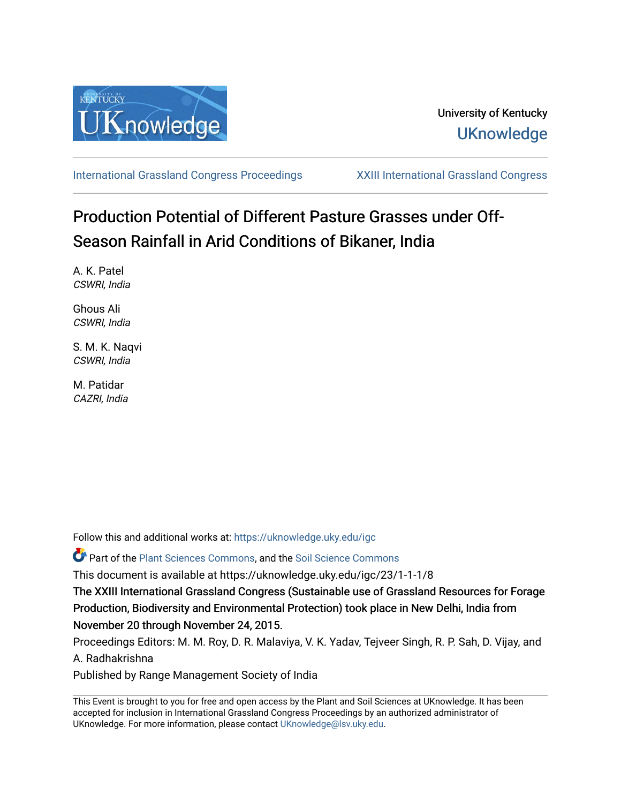

[International Grassland Congress Proceedings](https://uknowledge.uky.edu/igc) [XXIII International Grassland Congress](https://uknowledge.uky.edu/igc/23) 

# Production Potential of Different Pasture Grasses under Off-Season Rainfall in Arid Conditions of Bikaner, India

A. K. Patel CSWRI, India

Ghous Ali CSWRI, India

S. M. K. Naqvi CSWRI, India

M. Patidar CAZRI, India

Follow this and additional works at: [https://uknowledge.uky.edu/igc](https://uknowledge.uky.edu/igc?utm_source=uknowledge.uky.edu%2Figc%2F23%2F1-1-1%2F8&utm_medium=PDF&utm_campaign=PDFCoverPages) 

Part of the [Plant Sciences Commons](http://network.bepress.com/hgg/discipline/102?utm_source=uknowledge.uky.edu%2Figc%2F23%2F1-1-1%2F8&utm_medium=PDF&utm_campaign=PDFCoverPages), and the [Soil Science Commons](http://network.bepress.com/hgg/discipline/163?utm_source=uknowledge.uky.edu%2Figc%2F23%2F1-1-1%2F8&utm_medium=PDF&utm_campaign=PDFCoverPages) 

This document is available at https://uknowledge.uky.edu/igc/23/1-1-1/8

The XXIII International Grassland Congress (Sustainable use of Grassland Resources for Forage Production, Biodiversity and Environmental Protection) took place in New Delhi, India from November 20 through November 24, 2015.

Proceedings Editors: M. M. Roy, D. R. Malaviya, V. K. Yadav, Tejveer Singh, R. P. Sah, D. Vijay, and A. Radhakrishna

Published by Range Management Society of India

This Event is brought to you for free and open access by the Plant and Soil Sciences at UKnowledge. It has been accepted for inclusion in International Grassland Congress Proceedings by an authorized administrator of UKnowledge. For more information, please contact [UKnowledge@lsv.uky.edu](mailto:UKnowledge@lsv.uky.edu).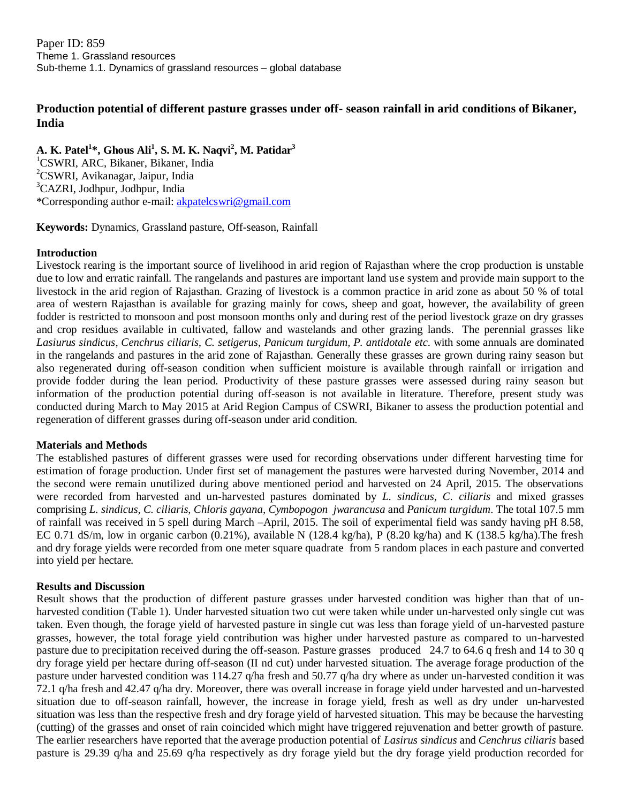Paper ID: 859 Theme 1. Grassland resources Sub-theme 1.1. Dynamics of grassland resources – global database

## **Production potential of different pasture grasses under off- season rainfall in arid conditions of Bikaner, India**

**A. K. Patel<sup>1</sup> \*, Ghous Ali<sup>1</sup> , S. M. K. Naqvi<sup>2</sup> , M. Patidar<sup>3</sup>** <sup>1</sup>CSWRI, ARC, Bikaner, Bikaner, India <sup>2</sup>CSWRI, Avikanagar, Jaipur, India <sup>3</sup>CAZRI, Jodhpur, Jodhpur, India \*Corresponding author e-mail: [akpatelcswri@gmail.com](mailto:akpatelcswri@gmail.com)

**Keywords:** Dynamics, Grassland pasture, Off-season, Rainfall

### **Introduction**

Livestock rearing is the important source of livelihood in arid region of Rajasthan where the crop production is unstable due to low and erratic rainfall. The rangelands and pastures are important land use system and provide main support to the livestock in the arid region of Rajasthan. Grazing of livestock is a common practice in arid zone as about 50 % of total area of western Rajasthan is available for grazing mainly for cows, sheep and goat, however, the availability of green fodder is restricted to monsoon and post monsoon months only and during rest of the period livestock graze on dry grasses and crop residues available in cultivated, fallow and wastelands and other grazing lands. The perennial grasses like *Lasiurus sindicus*, *Cenchrus ciliaris, C. setigerus, Panicum turgidum, P. antidotale etc*. with some annuals are dominated in the rangelands and pastures in the arid zone of Rajasthan. Generally these grasses are grown during rainy season but also regenerated during off-season condition when sufficient moisture is available through rainfall or irrigation and provide fodder during the lean period. Productivity of these pasture grasses were assessed during rainy season but information of the production potential during off-season is not available in literature. Therefore, present study was conducted during March to May 2015 at Arid Region Campus of CSWRI, Bikaner to assess the production potential and regeneration of different grasses during off-season under arid condition.

### **Materials and Methods**

The established pastures of different grasses were used for recording observations under different harvesting time for estimation of forage production. Under first set of management the pastures were harvested during November, 2014 and the second were remain unutilized during above mentioned period and harvested on 24 April, 2015. The observations were recorded from harvested and un-harvested pastures dominated by *L. sindicus, C. ciliaris* and mixed grasses comprising *L. sindicus, C. ciliaris*, *Chloris gayana*, *Cymbopogon jwarancusa* and *Panicum turgidum*. The total 107.5 mm of rainfall was received in 5 spell during March –April, 2015. The soil of experimental field was sandy having pH 8.58, EC 0.71 dS/m, low in organic carbon (0.21%), available N (128.4 kg/ha), P (8.20 kg/ha) and K (138.5 kg/ha).The fresh and dry forage yields were recorded from one meter square quadrate from 5 random places in each pasture and converted into yield per hectare.

### **Results and Discussion**

Result shows that the production of different pasture grasses under harvested condition was higher than that of unharvested condition (Table 1). Under harvested situation two cut were taken while under un-harvested only single cut was taken. Even though, the forage yield of harvested pasture in single cut was less than forage yield of un-harvested pasture grasses, however, the total forage yield contribution was higher under harvested pasture as compared to un-harvested pasture due to precipitation received during the off-season. Pasture grasses produced 24.7 to 64.6 q fresh and 14 to 30 q dry forage yield per hectare during off-season (II nd cut) under harvested situation. The average forage production of the pasture under harvested condition was 114.27 q/ha fresh and 50.77 q/ha dry where as under un-harvested condition it was 72.1 q/ha fresh and 42.47 q/ha dry. Moreover, there was overall increase in forage yield under harvested and un-harvested situation due to off-season rainfall, however, the increase in forage yield, fresh as well as dry under un-harvested situation was less than the respective fresh and dry forage yield of harvested situation. This may be because the harvesting (cutting) of the grasses and onset of rain coincided which might have triggered rejuvenation and better growth of pasture. The earlier researchers have reported that the average production potential of *Lasirus sindicus* and *Cenchrus ciliaris* based pasture is 29.39 q/ha and 25.69 q/ha respectively as dry forage yield but the dry forage yield production recorded for